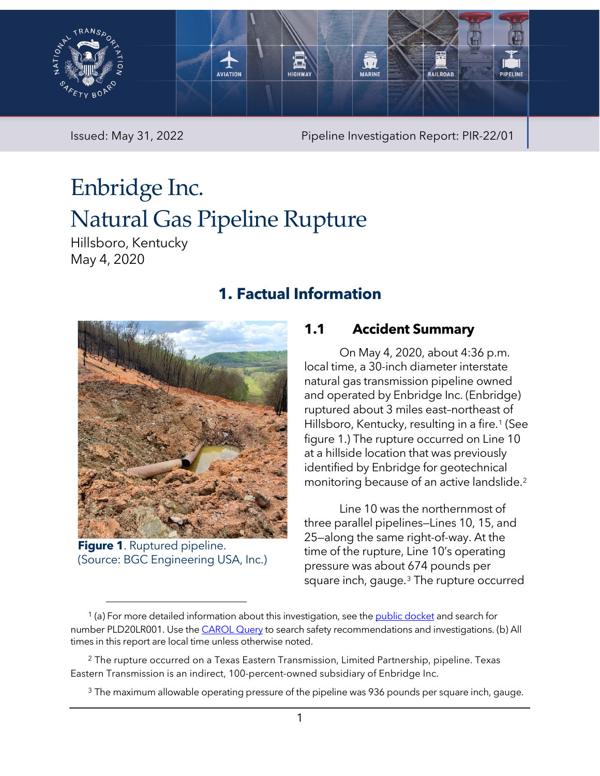

Issued: May 31, 2022 Pipeline Investigation Report: PIR-22/01

# Enbridge Inc. Natural Gas Pipeline Rupture

Hillsboro, Kentucky May 4, 2020

# **1. Factual Information**



**Figure 1**. Ruptured pipeline. (Source: BGC Engineering USA, Inc.)

## **1.1 Accident Summary**

On May 4, 2020, about 4:36 p.m. local time, a 30-inch diameter interstate natural gas transmission pipeline owned and operated by Enbridge Inc. (Enbridge) ruptured about 3 miles east–northeast of Hillsboro, Kentucky, resulting in a fire.<sup>[1](#page-0-1)</sup> (See [figure 1.](#page-0-0)) The rupture occurred on Line 10 at a hillside location that was previously identified by Enbridge for geotechnical monitoring because of an active landslide.[2](#page-0-2)

Line 10 was the northernmost of three parallel pipelines—Lines 10, 15, and 25—along the same right-of-way. At the time of the rupture, Line 10's operating pressure was about 674 pounds per square inch, gauge.[3](#page-0-3) The rupture occurred

<span id="page-0-1"></span><span id="page-0-0"></span> $1$  (a) For more detailed information about this investigation, see th[e public docket](https://data.ntsb.gov/Docket/Forms/searchdocket) and search for number PLD20LR001. Use the [CAROL Query](https://data.ntsb.gov/carol-main-public/landing-page) to search safety recommendations and investigations. (b) All times in this report are local time unless otherwise noted.

<span id="page-0-3"></span><span id="page-0-2"></span> $2$  The rupture occurred on a Texas Eastern Transmission, Limited Partnership, pipeline. Texas Eastern Transmission is an indirect, 100-percent-owned subsidiary of Enbridge Inc.

 $3$  The maximum allowable operating pressure of the pipeline was 936 pounds per square inch, gauge.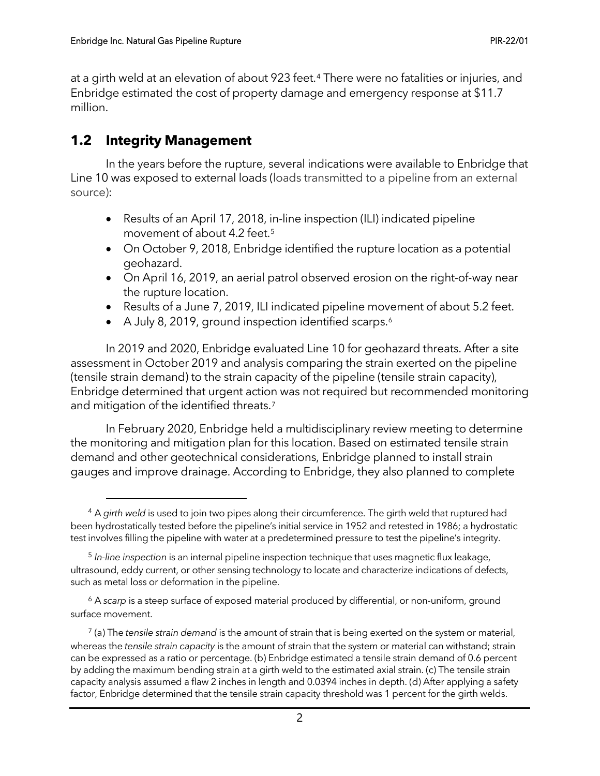at a girth weld at an elevation of about 923 feet.[4](#page-1-0) There were no fatalities or injuries, and Enbridge estimated the cost of property damage and emergency response at \$11.7 million.

### **1.2 Integrity Management**

In the years before the rupture, several indications were available to Enbridge that Line 10 was exposed to external loads (loads transmitted to a pipeline from an external source):

- Results of an April 17, 2018, in-line inspection (ILI) indicated pipeline movement of about 4.2 feet.<sup>[5](#page-1-1)</sup>
- On October 9, 2018, Enbridge identified the rupture location as a potential geohazard.
- On April 16, 2019, an aerial patrol observed erosion on the right-of-way near the rupture location.
- Results of a June 7, 2019, ILI indicated pipeline movement of about 5.2 feet.
- A July 8, 2019, ground inspection identified scarps.<sup>6</sup>

In 2019 and 2020, Enbridge evaluated Line 10 for geohazard threats. After a site assessment in October 2019 and analysis comparing the strain exerted on the pipeline (tensile strain demand) to the strain capacity of the pipeline (tensile strain capacity), Enbridge determined that urgent action was not required but recommended monitoring and mitigation of the identified threats.<sup>[7](#page-1-3)</sup>

In February 2020, Enbridge held a multidisciplinary review meeting to determine the monitoring and mitigation plan for this location. Based on estimated tensile strain demand and other geotechnical considerations, Enbridge planned to install strain gauges and improve drainage. According to Enbridge, they also planned to complete

<span id="page-1-0"></span><sup>4</sup> A *girth weld* is used to join two pipes along their circumference. The girth weld that ruptured had been hydrostatically tested before the pipeline's initial service in 1952 and retested in 1986; a hydrostatic test involves filling the pipeline with water at a predetermined pressure to test the pipeline's integrity.

<span id="page-1-1"></span><sup>5</sup> *In-line inspection* is an internal pipeline inspection technique that uses magnetic flux leakage, ultrasound, eddy current, or other sensing technology to locate and characterize indications of defects, such as metal loss or deformation in the pipeline.

<span id="page-1-2"></span><sup>6</sup> A *scarp* is a steep surface of exposed material produced by differential, or non-uniform, ground surface movement.

<span id="page-1-3"></span><sup>7</sup> (a) The *tensile strain demand* is the amount of strain that is being exerted on the system or material, whereas the *tensile strain capacity* is the amount of strain that the system or material can withstand; strain can be expressed as a ratio or percentage. (b) Enbridge estimated a tensile strain demand of 0.6 percent by adding the maximum bending strain at a girth weld to the estimated axial strain. (c) The tensile strain capacity analysis assumed a flaw 2 inches in length and 0.0394 inches in depth. (d) After applying a safety factor, Enbridge determined that the tensile strain capacity threshold was 1 percent for the girth welds.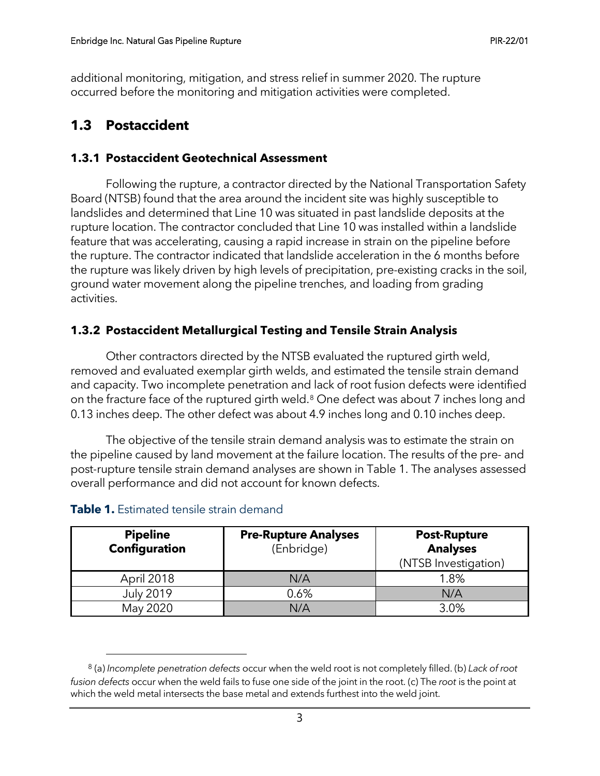additional monitoring, mitigation, and stress relief in summer 2020. The rupture occurred before the monitoring and mitigation activities were completed.

## **1.3 Postaccident**

#### **1.3.1 Postaccident Geotechnical Assessment**

Following the rupture, a contractor directed by the National Transportation Safety Board (NTSB) found that the area around the incident site was highly susceptible to landslides and determined that Line 10 was situated in past landslide deposits at the rupture location. The contractor concluded that Line 10 was installed within a landslide feature that was accelerating, causing a rapid increase in strain on the pipeline before the rupture. The contractor indicated that landslide acceleration in the 6 months before the rupture was likely driven by high levels of precipitation, pre-existing cracks in the soil, ground water movement along the pipeline trenches, and loading from grading activities.

#### **1.3.2 Postaccident Metallurgical Testing and Tensile Strain Analysis**

Other contractors directed by the NTSB evaluated the ruptured girth weld, removed and evaluated exemplar girth welds, and estimated the tensile strain demand and capacity. Two incomplete penetration and lack of root fusion defects were identified on the fracture face of the ruptured girth weld.<sup>[8](#page-2-1)</sup> One defect was about 7 inches long and 0.13 inches deep. The other defect was about 4.9 inches long and 0.10 inches deep.

The objective of the tensile strain demand analysis was to estimate the strain on the pipeline caused by land movement at the failure location. The results of the pre- and post-rupture tensile strain demand analyses are shown in [Table 1.](#page-2-0) The analyses assessed overall performance and did not account for known defects.

| <b>Pipeline</b><br><b>Configuration</b> | <b>Pre-Rupture Analyses</b><br>(Enbridge) | <b>Post-Rupture</b><br><b>Analyses</b><br>(NTSB Investigation) |
|-----------------------------------------|-------------------------------------------|----------------------------------------------------------------|
| April 2018                              | N/A                                       | 1.8%                                                           |
| <b>July 2019</b>                        | 0.6%                                      | N/A                                                            |
| May 2020                                | N/A                                       | 3.0%                                                           |

#### <span id="page-2-0"></span>**Table 1.** Estimated tensile strain demand

<span id="page-2-1"></span><sup>8</sup> (a) *Incomplete penetration defects* occur when the weld root is not completely filled. (b) *Lack of root fusion defects* occur when the weld fails to fuse one side of the joint in the root. (c) The *root* is the point at which the weld metal intersects the base metal and extends furthest into the weld joint.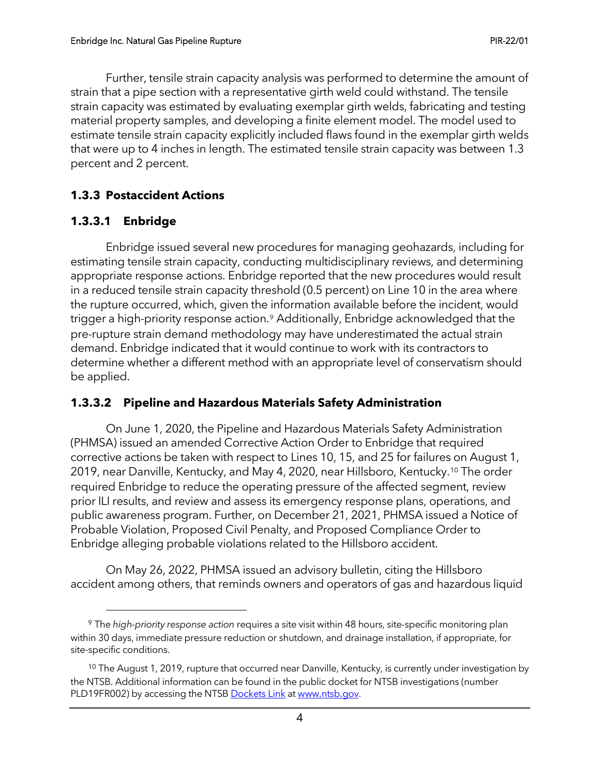Further, tensile strain capacity analysis was performed to determine the amount of strain that a pipe section with a representative girth weld could withstand. The tensile strain capacity was estimated by evaluating exemplar girth welds, fabricating and testing material property samples, and developing a finite element model. The model used to estimate tensile strain capacity explicitly included flaws found in the exemplar girth welds that were up to 4 inches in length. The estimated tensile strain capacity was between 1.3 percent and 2 percent.

#### **1.3.3 Postaccident Actions**

#### **1.3.3.1 Enbridge**

Enbridge issued several new procedures for managing geohazards, including for estimating tensile strain capacity, conducting multidisciplinary reviews, and determining appropriate response actions. Enbridge reported that the new procedures would result in a reduced tensile strain capacity threshold (0.5 percent) on Line 10 in the area where the rupture occurred, which, given the information available before the incident, would trigger a high-priority response action.<sup>[9](#page-3-0)</sup> Additionally, Enbridge acknowledged that the pre-rupture strain demand methodology may have underestimated the actual strain demand. Enbridge indicated that it would continue to work with its contractors to determine whether a different method with an appropriate level of conservatism should be applied.

#### **1.3.3.2 Pipeline and Hazardous Materials Safety Administration**

On June 1, 2020, the Pipeline and Hazardous Materials Safety Administration (PHMSA) issued an amended Corrective Action Order to Enbridge that required corrective actions be taken with respect to Lines 10, 15, and 25 for failures on August 1, 2019, near Danville, Kentucky, and May 4, 2020, near Hillsboro, Kentucky.[10](#page-3-1) The order required Enbridge to reduce the operating pressure of the affected segment, review prior ILI results, and review and assess its emergency response plans, operations, and public awareness program. Further, on December 21, 2021, PHMSA issued a Notice of Probable Violation, Proposed Civil Penalty, and Proposed Compliance Order to Enbridge alleging probable violations related to the Hillsboro accident.

On May 26, 2022, PHMSA issued an advisory bulletin, citing the Hillsboro accident among others, that reminds owners and operators of gas and hazardous liquid

<span id="page-3-0"></span><sup>9</sup> The *high-priority response action* requires a site visit within 48 hours, site-specific monitoring plan within 30 days, immediate pressure reduction or shutdown, and drainage installation, if appropriate, for site-specific conditions.

<span id="page-3-1"></span><sup>&</sup>lt;sup>10</sup> The August 1, 2019, rupture that occurred near Danville, Kentucky, is currently under investigation by the NTSB. Additional information can be found in the public docket for NTSB investigations (number PLD19FR002) by accessing the NTS[B Dockets Link](https://data.ntsb.gov/Docket/Forms/searchdocket) at [www.ntsb.gov.](http://www.ntsb.gov/)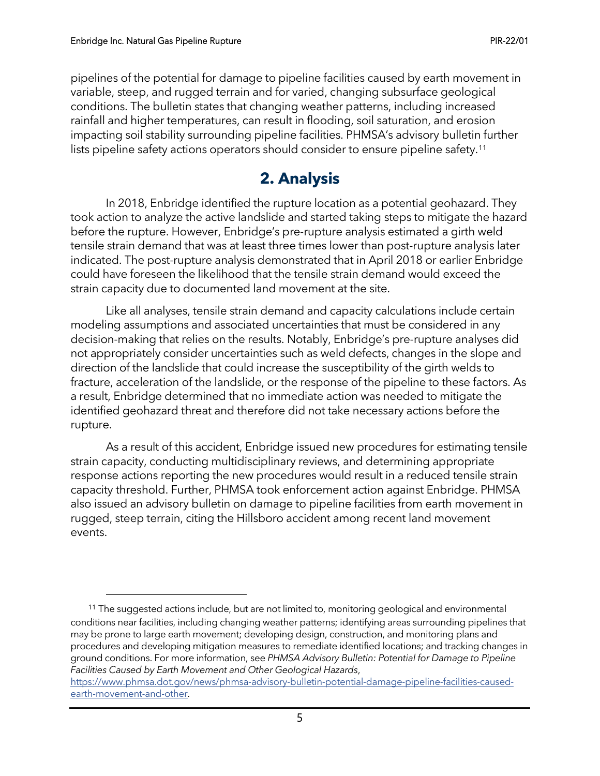pipelines of the potential for damage to pipeline facilities caused by earth movement in variable, steep, and rugged terrain and for varied, changing subsurface geological conditions. The bulletin states that changing weather patterns, including increased rainfall and higher temperatures, can result in flooding, soil saturation, and erosion impacting soil stability surrounding pipeline facilities. PHMSA's advisory bulletin further lists pipeline safety actions operators should consider to ensure pipeline safety.<sup>[11](#page-4-0)</sup>

# **2. Analysis**

In 2018, Enbridge identified the rupture location as a potential geohazard. They took action to analyze the active landslide and started taking steps to mitigate the hazard before the rupture. However, Enbridge's pre-rupture analysis estimated a girth weld tensile strain demand that was at least three times lower than post-rupture analysis later indicated. The post-rupture analysis demonstrated that in April 2018 or earlier Enbridge could have foreseen the likelihood that the tensile strain demand would exceed the strain capacity due to documented land movement at the site.

Like all analyses, tensile strain demand and capacity calculations include certain modeling assumptions and associated uncertainties that must be considered in any decision-making that relies on the results. Notably, Enbridge's pre-rupture analyses did not appropriately consider uncertainties such as weld defects, changes in the slope and direction of the landslide that could increase the susceptibility of the girth welds to fracture, acceleration of the landslide, or the response of the pipeline to these factors. As a result, Enbridge determined that no immediate action was needed to mitigate the identified geohazard threat and therefore did not take necessary actions before the rupture.

As a result of this accident, Enbridge issued new procedures for estimating tensile strain capacity, conducting multidisciplinary reviews, and determining appropriate response actions reporting the new procedures would result in a reduced tensile strain capacity threshold. Further, PHMSA took enforcement action against Enbridge. PHMSA also issued an advisory bulletin on damage to pipeline facilities from earth movement in rugged, steep terrain, citing the Hillsboro accident among recent land movement events.

<span id="page-4-0"></span><sup>&</sup>lt;sup>11</sup> The suggested actions include, but are not limited to, monitoring geological and environmental conditions near facilities, including changing weather patterns; identifying areas surrounding pipelines that may be prone to large earth movement; developing design, construction, and monitoring plans and procedures and developing mitigation measures to remediate identified locations; and tracking changes in ground conditions. For more information, see *PHMSA Advisory Bulletin: Potential for Damage to Pipeline Facilities Caused by Earth Movement and Other Geological Hazards*,

[https://www.phmsa.dot.gov/news/phmsa-advisory-bulletin-potential-damage-pipeline-facilities-caused](https://www.phmsa.dot.gov/news/phmsa-advisory-bulletin-potential-damage-pipeline-facilities-caused-earth-movement-and-other)[earth-movement-and-other.](https://www.phmsa.dot.gov/news/phmsa-advisory-bulletin-potential-damage-pipeline-facilities-caused-earth-movement-and-other)